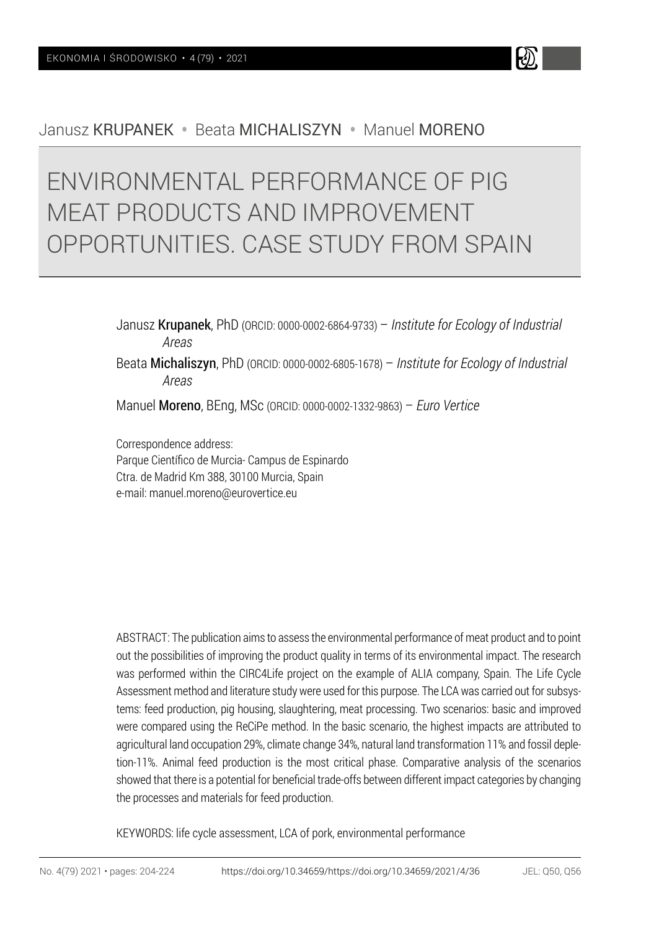# Janusz KRUPANEK • Beata MICHALISZYN • Manuel MORENO

# ENVIRONMENTAL PERFORMANCE OF PIG MEAT PRODUCTS AND IMPROVEMENT OPPORTUNITIES. CASE STUDY FROM SPAIN

Janusz Krupanek, PhD (ORCID: 0000-0002-6864-9733) – *Institute for Ecology of Industrial Areas* Beata Michaliszyn, PhD (ORCID: 0000-0002-6805-1678) – *Institute for Ecology of Industrial Areas*

Manuel Moreno, BEng, MSc (ORCID: 0000-0002-1332-9863) – *Euro Vertice*

Correspondence address: Parque Científico de Murcia- Campus de Espinardo Ctra. de Madrid Km 388, 30100 Murcia, Spain e-mail: manuel.moreno@eurovertice.eu

ABSTRACT: The publication aims to assess the environmental performance of meat product and to point out the possibilities of improving the product quality in terms of its environmental impact. The research was performed within the CIRC4Life project on the example of ALIA company, Spain. The Life Cycle Assessment method and literature study were used for this purpose. The LCA was carried out for subsystems: feed production, pig housing, slaughtering, meat processing. Two scenarios: basic and improved were compared using the ReCiPe method. In the basic scenario, the highest impacts are attributed to agricultural land occupation 29%, climate change 34%, natural land transformation 11% and fossil depletion-11%. Animal feed production is the most critical phase. Comparative analysis of the scenarios showed that there is a potential for beneficial trade-offs between different impact categories by changing the processes and materials for feed production.

KEYWORDS: life cycle assessment, LCA of pork, environmental performance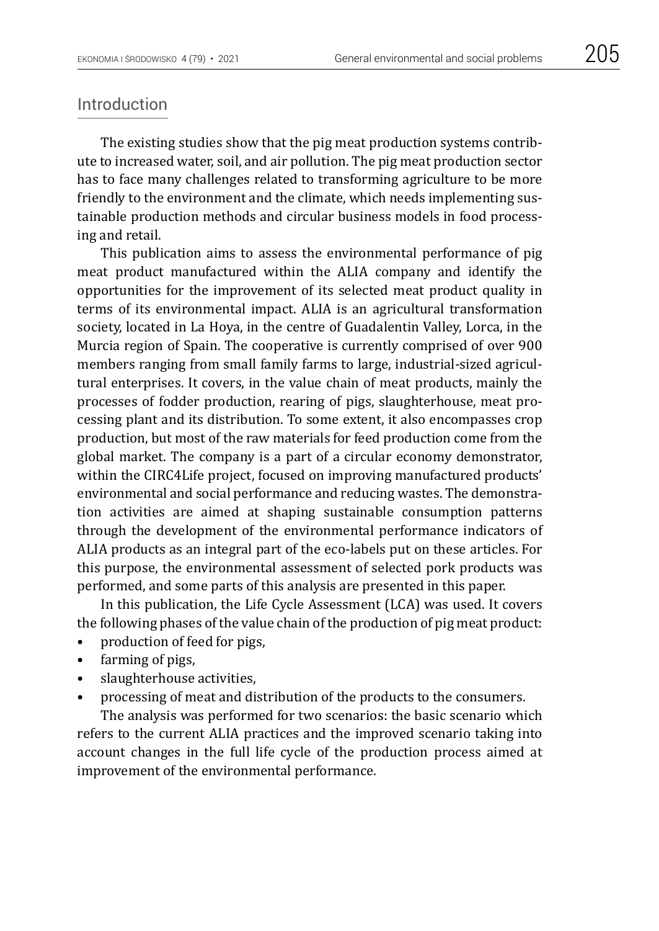The existing studies show that the pig meat production systems contribute to increased water, soil, and air pollution. The pig meat production sector has to face many challenges related to transforming agriculture to be more friendly to the environment and the climate, which needs implementing sustainable production methods and circular business models in food processing and retail.

This publication aims to assess the environmental performance of pig meat product manufactured within the ALIA company and identify the opportunities for the improvement of its selected meat product quality in terms of its environmental impact. ALIA is an agricultural transformation society, located in La Hoya, in the centre of Guadalentin Valley, Lorca, in the Murcia region of Spain. The cooperative is currently comprised of over 900 members ranging from small family farms to large, industrial-sized agricultural enterprises. It covers, in the value chain of meat products, mainly the processes of fodder production, rearing of pigs, slaughterhouse, meat processing plant and its distribution. To some extent, it also encompasses crop production, but most of the raw materials for feed production come from the global market. The company is a part of a circular economy demonstrator, within the CIRC4Life project, focused on improving manufactured products' environmental and social performance and reducing wastes. The demonstration activities are aimed at shaping sustainable consumption patterns through the development of the environmental performance indicators of ALIA products as an integral part of the eco-labels put on these articles. For this purpose, the environmental assessment of selected pork products was performed, and some parts of this analysis are presented in this paper.

In this publication, the Life Cycle Assessment (LCA) was used. It covers the following phases of the value chain of the production of pig meat product:

- production of feed for pigs,
- farming of pigs,
- slaughterhouse activities,
- processing of meat and distribution of the products to the consumers.

The analysis was performed for two scenarios: the basic scenario which refers to the current ALIA practices and the improved scenario taking into account changes in the full life cycle of the production process aimed at improvement of the environmental performance.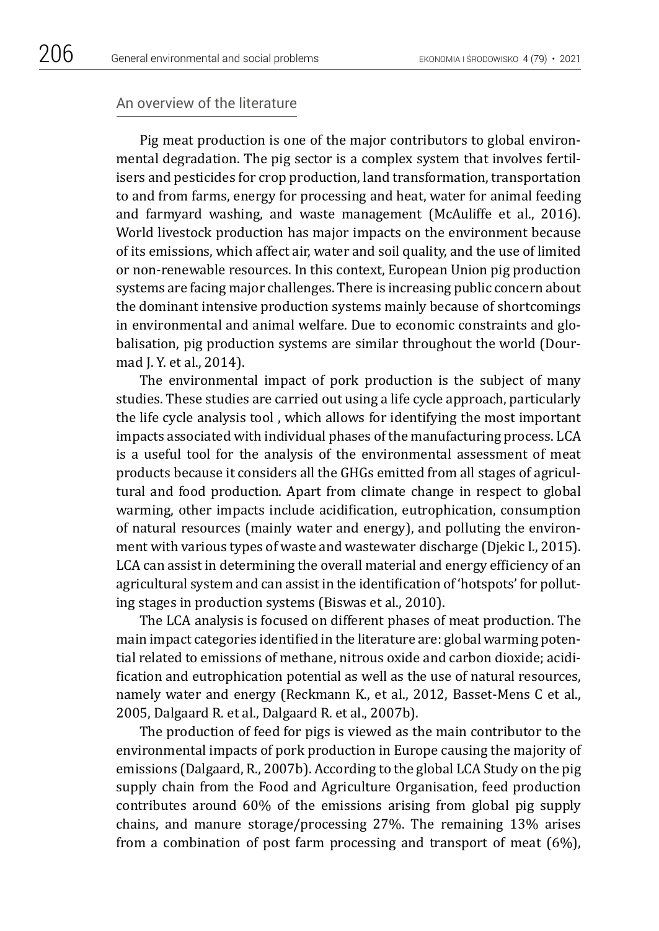#### An overview of the literature

Pig meat production is one of the major contributors to global environmental degradation. The pig sector is a complex system that involves [fertil](https://www.sciencedirect.com/topics/earth-and-planetary-sciences/fertiliser)[isers](https://www.sciencedirect.com/topics/earth-and-planetary-sciences/fertiliser) and pesticides for crop production, land transformation, transportation to and from farms, energy for processing and heat, water for animal feeding and farmyard washing, and waste management (McAuliffe et al., 2016). World livestock production has major impacts on the environment because of its emissions, which affect air, water and soil quality, and the use of limited or non-renewable resources. In this context, European Union pig production systems are facing major challenges. There is increasing public concern about the dominant intensive production systems mainly because of shortcomings in environmental and animal welfare. Due to economic constraints and globalisation, pig production systems are similar throughout the world (Dourmad J. Y. et al., 2014).

The environmental impact of pork production is the subject of many studies. These studies are carried out using a life cycle approach, particularly the life cycle analysis tool , which allows for identifying the most important impacts associated with individual phases of the manufacturing process. LCA is a useful tool for the analysis of the environmental assessment of meat products because it considers all the GHGs emitted from all stages of agricultural and food production. Apart from climate change in respect to global warming, other impacts include acidification, eutrophication, consumption of natural resources (mainly water and energy), and polluting the environment with various types of waste and wastewater discharge (Djekic I., 2015). LCA can assist in determining the overall material and energy efficiency of an agricultural system and can assist in the identification of 'hotspots' for polluting stages in production systems (Biswas et al., 2010).

The LCA analysis is focused on different phases of meat production. The main impact categories identified in the literature are: global warming potential related to emissions of methane, nitrous oxide and carbon dioxide; acidification and eutrophication potential as well as the use of natural resources, namely water and energy (Reckmann K., et al., 2012, Basset-Mens C et al., 2005, Dalgaard R. et al., Dalgaard R. et al., 2007b).

The production of feed for pigs is viewed as the main contributor to the environmental impacts of pork production in Europe causing the majority of emissions (Dalgaard, R., 2007b). According to the global LCA Study on the pig supply chain from the Food and Agriculture Organisation, feed production contributes around 60% of the emissions arising from global pig supply chains, and manure storage/processing 27%. The remaining 13% arises from a combination of post farm processing and transport of meat (6%),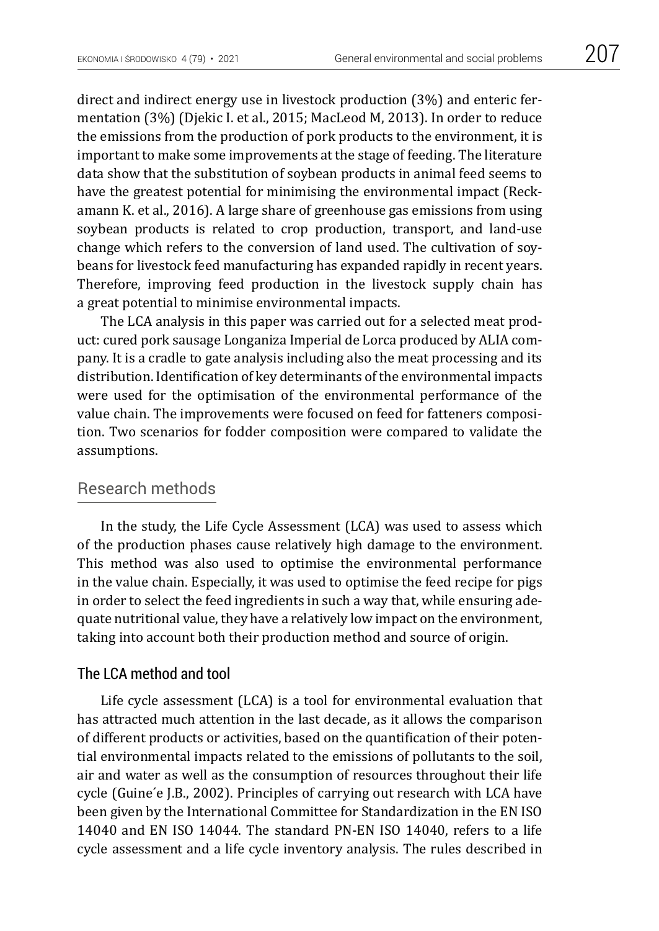direct and indirect energy use in livestock production (3%) and enteric fermentation (3%) (Djekic I. et al., 2015; MacLeod M, 2013). In order to reduce the emissions from the production of pork products to the environment, it is important to make some improvements at the stage of feeding. The literature data show that the substitution of soybean products in animal feed seems to have the greatest potential for minimising the environmental impact (Reckamann K. et al., 2016). A large share of greenhouse gas emissions from using soybean products is related to crop production, transport, and land-use change which refers to the conversion of land used. The cultivation of soybeans for livestock feed manufacturing has expanded rapidly in recent years. Therefore, improving feed production in the livestock supply chain has a great potential to minimise environmental impacts.

The LCA analysis in this paper was carried out for a selected meat product: cured pork sausage Longaniza Imperial de Lorca produced by ALIA company. It is a cradle to gate analysis including also the meat processing and its distribution. Identification of key determinants of the environmental impacts were used for the optimisation of the environmental performance of the value chain. The improvements were focused on feed for fatteners composition. Two scenarios for fodder composition were compared to validate the assumptions.

## Research methods

In the study, the Life Cycle Assessment (LCA) was used to assess which of the production phases cause relatively high damage to the environment. This method was also used to optimise the environmental performance in the value chain. Especially, it was used to optimise the feed recipe for pigs in order to select the feed ingredients in such a way that, while ensuring adequate nutritional value, they have a relatively low impact on the environment, taking into account both their production method and source of origin.

#### The LCA method and tool

Life cycle assessment (LCA) is a tool for environmental evaluation that has attracted much attention in the last decade, as it allows the comparison of different products or activities, based on the quantification of their potential environmental impacts related to the emissions of pollutants to the soil, air and water as well as the consumption of resources throughout their life cycle (Guine ́e J.B., 2002). Principles of carrying out research with LCA have been given by the International Committee for Standardization in the EN ISO 14040 and EN ISO 14044. The standard PN-EN ISO 14040, refers to a life cycle assessment and a life cycle inventory analysis. The rules described in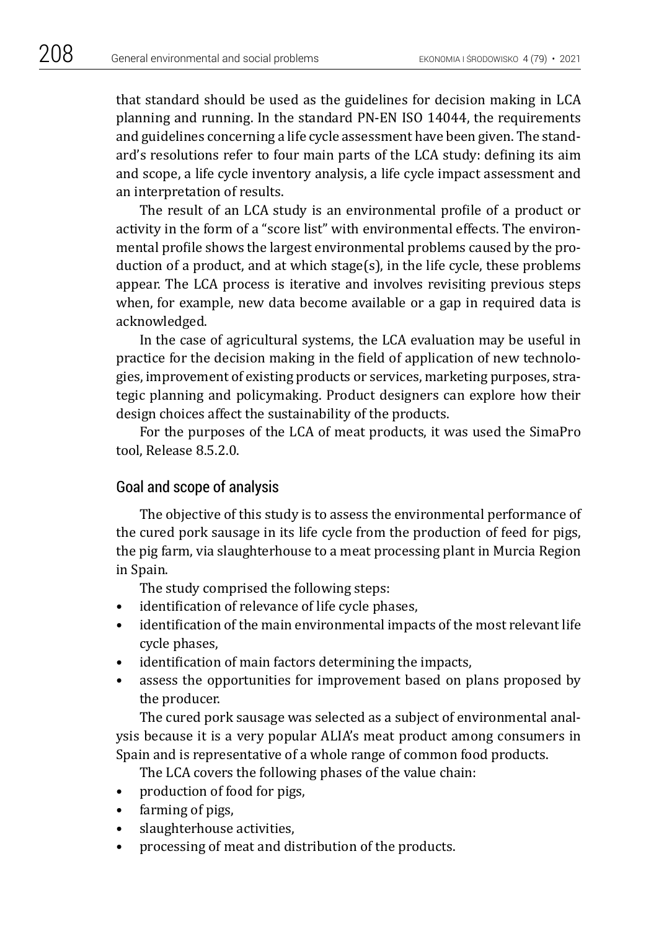that standard should be used as the guidelines for decision making in LCA planning and running. In the standard PN-EN ISO 14044, the requirements and guidelines concerning a life cycle assessment have been given. The standard's resolutions refer to four main parts of the LCA study: defining its aim and scope, a life cycle inventory analysis, a life cycle impact assessment and an interpretation of results.

The result of an LCA study is an environmental profile of a product or activity in the form of a "score list" with environmental effects. The environmental profile shows the largest environmental problems caused by the production of a product, and at which stage(s), in the life cycle, these problems appear. The LCA process is iterative and involves revisiting previous steps when, for example, new data become available or a gap in required data is acknowledged.

In the case of agricultural systems, the LCA evaluation may be useful in practice for the decision making in the field of application of new technologies, improvement of existing products or services, marketing purposes, strategic planning and policymaking. Product designers can explore how their design choices affect the sustainability of the products.

For the purposes of the LCA of meat products, it was used the SimaPro tool, Release 8.5.2.0.

## Goal and scope of analysis

The objective of this study is to assess the environmental performance of the cured pork sausage in its life cycle from the production of feed for pigs, the pig farm, via slaughterhouse to a meat processing plant in Murcia Region in Spain.

The study comprised the following steps:

- identification of relevance of life cycle phases,
- identification of the main environmental impacts of the most relevant life cycle phases,
- identification of main factors determining the impacts,
- assess the opportunities for improvement based on plans proposed by the producer.

The cured pork sausage was selected as a subject of environmental analysis because it is a very popular ALIA's meat product among consumers in Spain and is representative of a whole range of common food products.

The LCA covers the following phases of the value chain:

- production of food for pigs,
- farming of pigs,
- slaughterhouse activities,
- processing of meat and distribution of the products.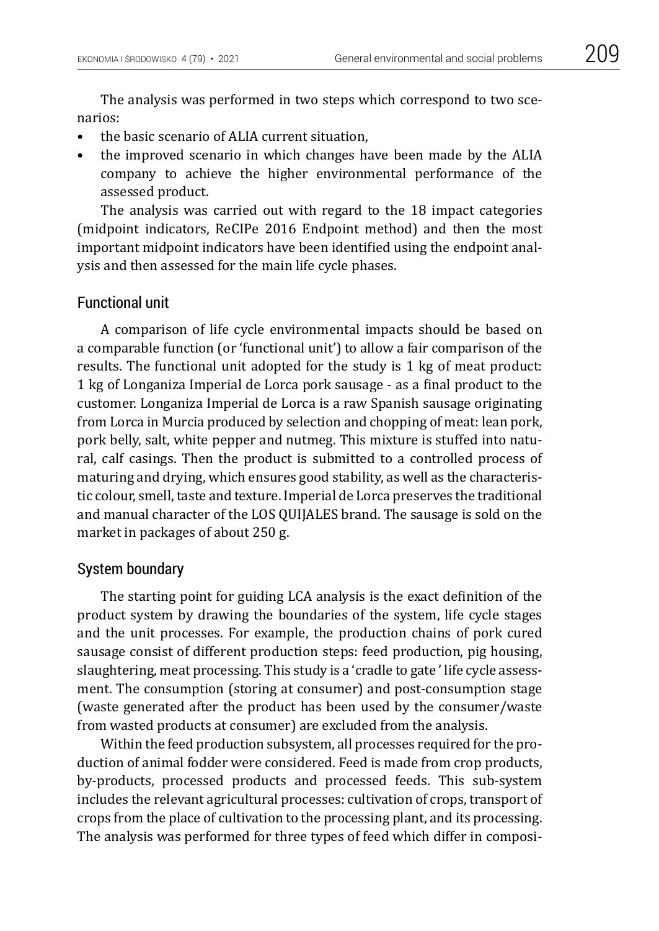The analysis was performed in two steps which correspond to two scenarios:

- the basic scenario of ALIA current situation,
- the improved scenario in which changes have been made by the ALIA company to achieve the higher environmental performance of the assessed product.

The analysis was carried out with regard to the 18 impact categories (midpoint indicators, ReCIPe 2016 Endpoint method) and then the most important midpoint indicators have been identified using the endpoint analysis and then assessed for the main life cycle phases.

#### Functional unit

A comparison of life cycle environmental impacts should be based on a comparable function (or 'functional unit') to allow a fair comparison of the results. The functional unit adopted for the study is 1 kg of meat product: 1 kg of Longaniza Imperial de Lorca pork sausage - as a final product to the customer. Longaniza Imperial de Lorca is a raw Spanish sausage originating from Lorca in Murcia produced by selection and chopping of meat: lean pork, pork belly, salt, white pepper and nutmeg. This mixture is stuffed into natural, calf casings. Then the product is submitted to a controlled process of maturing and drying, which ensures good stability, as well as the characteristic colour, smell, taste and texture. Imperial de Lorca preserves the traditional and manual character of the LOS QUIJALES brand. The sausage is sold on the market in packages of about 250 g.

#### System boundary

The starting point for guiding LCA analysis is the exact definition of the product system by drawing the boundaries of the system, life cycle stages and the unit processes. For example, the production chains of pork cured sausage consist of different production steps: feed production, pig housing, slaughtering, meat processing. This study is a 'cradle to gate ' life cycle assessment. The consumption (storing at consumer) and post-consumption stage (waste generated after the product has been used by the consumer/waste from wasted products at consumer) are excluded from the analysis.

Within the feed production subsystem, all processes required for the production of animal fodder were considered. Feed is made from crop products, by-products, processed products and processed feeds. This sub-system includes the relevant agricultural processes: cultivation of crops, transport of crops from the place of cultivation to the processing plant, and its processing. The analysis was performed for three types of feed which differ in composi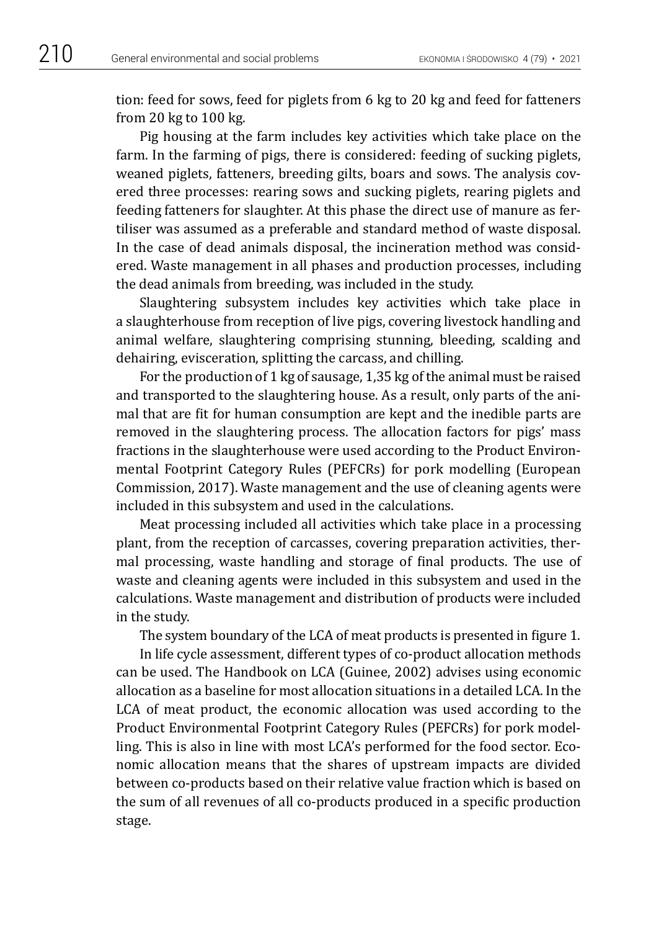tion: feed for sows, feed for piglets from 6 kg to 20 kg and feed for fatteners from 20 kg to 100 kg.

Pig housing at the farm includes key activities which take place on the farm. In the farming of pigs, there is considered: feeding of sucking piglets, weaned piglets, fatteners, breeding gilts, boars and sows. The analysis covered three processes: rearing sows and sucking piglets, rearing piglets and feeding fatteners for slaughter. At this phase the direct use of manure as fertiliser was assumed as a preferable and standard method of waste disposal. In the case of dead animals disposal, the incineration method was considered. Waste management in all phases and production processes, including the dead animals from breeding, was included in the study.

Slaughtering subsystem includes key activities which take place in a slaughterhouse from reception of live pigs, covering livestock handling and animal welfare, slaughtering comprising stunning, bleeding, scalding and dehairing, evisceration, splitting the carcass, and chilling.

For the production of 1 kg of sausage, 1,35 kg of the animal must be raised and transported to the slaughtering house. As a result, only parts of the animal that are fit for human consumption are kept and the inedible parts are removed in the slaughtering process. The allocation factors for pigs' mass fractions in the slaughterhouse were used according to the Product Environmental Footprint Category Rules (PEFCRs) for pork modelling (European Commission, 2017). Waste management and the use of cleaning agents were included in this subsystem and used in the calculations.

Meat processing included all activities which take place in a processing plant, from the reception of carcasses, covering preparation activities, thermal processing, waste handling and storage of final products. The use of waste and cleaning agents were included in this subsystem and used in the calculations. Waste management and distribution of products were included in the study.

The system boundary of the LCA of meat products is presented in figure 1.

In life cycle assessment, different types of co-product allocation methods can be used. The Handbook on LCA (Guinee, 2002) advises using economic allocation as a baseline for most allocation situations in a detailed LCA. In the LCA of meat product, the economic allocation was used according to the Product Environmental Footprint Category Rules (PEFCRs) for pork modelling. This is also in line with most LCA's performed for the food sector. Economic allocation means that the shares of upstream impacts are divided between co-products based on their relative value fraction which is based on the sum of all revenues of all co-products produced in a specific production stage.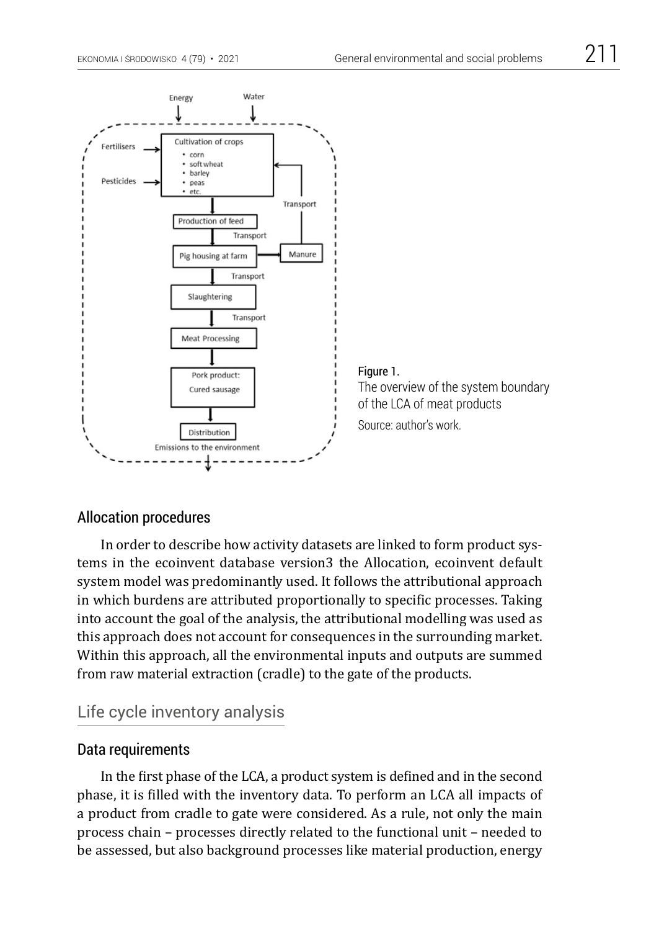

### Allocation procedures

In order to describe how activity datasets are linked to form product systems in the ecoinvent database version3 the Allocation, ecoinvent default system model was predominantly used. It follows the attributional approach in which burdens are attributed proportionally to specific processes. Taking into account the goal of the analysis, the attributional modelling was used as this approach does not account for consequences in the surrounding market. Within this approach, all the environmental inputs and outputs are summed from raw material extraction (cradle) to the gate of the products.

# Life cycle inventory analysis

### Data requirements

In the first phase of the LCA, a product system is defined and in the second phase, it is filled with the inventory data. To perform an LCA all impacts of a product from cradle to gate were considered. As a rule, not only the main process chain – processes directly related to the functional unit – needed to be assessed, but also background processes like material production, energy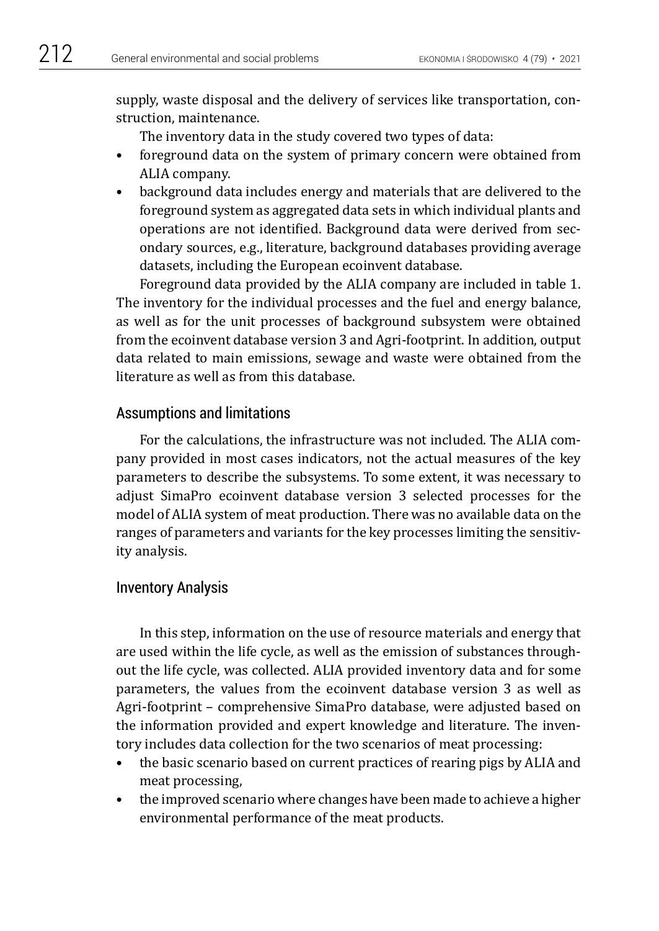supply, waste disposal and the delivery of services like transportation, construction, maintenance.

The inventory data in the study covered two types of data:

- foreground data on the system of primary concern were obtained from ALIA company.
- background data includes energy and materials that are delivered to the foreground system as aggregated data sets in which individual plants and operations are not identified. Background data were derived from secondary sources, e.g., literature, background databases providing average datasets, including the European ecoinvent database.

Foreground data provided by the ALIA company are included in table 1. The inventory for the individual processes and the fuel and energy balance, as well as for the unit processes of background subsystem were obtained from the ecoinvent database version 3 and Agri-footprint. In addition, output data related to main emissions, sewage and waste were obtained from the literature as well as from this database.

### Assumptions and limitations

For the calculations, the infrastructure was not included. The ALIA company provided in most cases indicators, not the actual measures of the key parameters to describe the subsystems. To some extent, it was necessary to adjust SimaPro ecoinvent database version 3 selected processes for the model of ALIA system of meat production. There was no available data on the ranges of parameters and variants for the key processes limiting the sensitivity analysis.

### Inventory Analysis

In this step, information on the use of resource materials and energy that are used within the life cycle, as well as the emission of substances throughout the life cycle, was collected. ALIA provided inventory data and for some parameters, the values from the ecoinvent database version 3 as well as Agri-footprint – comprehensive SimaPro database, were adjusted based on the information provided and expert knowledge and literature. The inventory includes data collection for the two scenarios of meat processing:

- the basic scenario based on current practices of rearing pigs by ALIA and meat processing,
- the improved scenario where changes have been made to achieve a higher environmental performance of the meat products.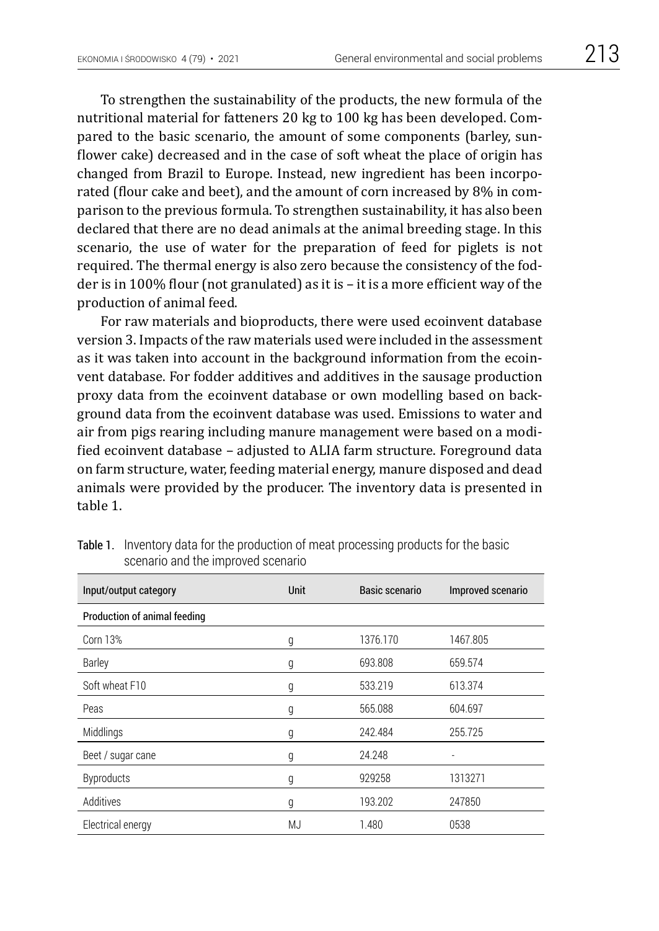To strengthen the sustainability of the products, the new formula of the nutritional material for fatteners 20 kg to 100 kg has been developed. Compared to the basic scenario, the amount of some components (barley, sunflower cake) decreased and in the case of soft wheat the place of origin has changed from Brazil to Europe. Instead, new ingredient has been incorporated (flour cake and beet), and the amount of corn increased by 8% in comparison to the previous formula. To strengthen sustainability, it has also been declared that there are no dead animals at the animal breeding stage. In this scenario, the use of water for the preparation of feed for piglets is not required. The thermal energy is also zero because the consistency of the fodder is in 100% flour (not granulated) as it is – it is a more efficient way of the production of animal feed.

For raw materials and bioproducts, there were used ecoinvent database version 3. Impacts of the raw materials used were included in the assessment as it was taken into account in the background information from the ecoinvent database. For fodder additives and additives in the sausage production proxy data from the ecoinvent database or own modelling based on background data from the ecoinvent database was used. Emissions to water and air from pigs rearing including manure management were based on a modified ecoinvent database – adjusted to ALIA farm structure. Foreground data on farm structure, water, feeding material energy, manure disposed and dead animals were provided by the producer. The inventory data is presented in table 1.

| Input/output category        | <b>Unit</b> | Basic scenario | Improved scenario |
|------------------------------|-------------|----------------|-------------------|
| Production of animal feeding |             |                |                   |
| <b>Corn 13%</b>              | g           | 1376.170       | 1467.805          |
| Barley                       | g           | 693.808        | 659.574           |
| Soft wheat F10               | g           | 533.219        | 613.374           |
| Peas                         | g           | 565.088        | 604.697           |
| Middlings                    | g           | 242.484        | 255.725           |
| Beet / sugar cane            | g           | 24.248         | ٠                 |
| <b>Byproducts</b>            | g           | 929258         | 1313271           |
| Additives                    | g           | 193.202        | 247850            |
| Electrical energy            | MJ          | 1.480          | 0538              |

Table 1. Inventory data for the production of meat processing products for the basic scenario and the improved scenario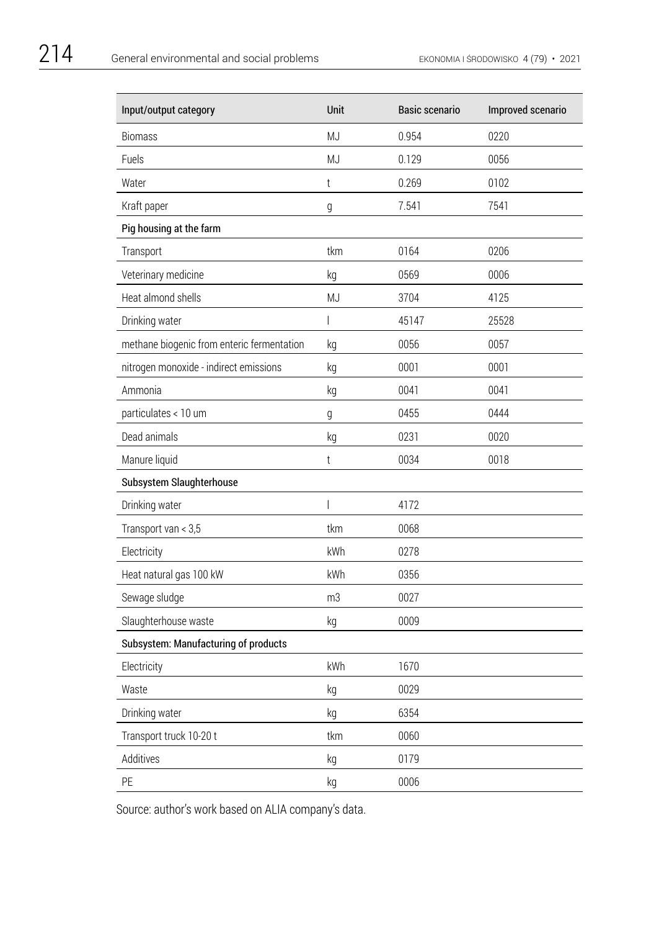| Input/output category                      | Unit                     | <b>Basic scenario</b> | Improved scenario |
|--------------------------------------------|--------------------------|-----------------------|-------------------|
| <b>Biomass</b>                             | MJ                       | 0.954                 | 0220              |
| Fuels                                      | MJ                       | 0.129                 | 0056              |
| Water                                      | $\mathfrak{t}$           | 0.269                 | 0102              |
| Kraft paper                                | g                        | 7.541                 | 7541              |
| Pig housing at the farm                    |                          |                       |                   |
| Transport                                  | tkm                      | 0164                  | 0206              |
| Veterinary medicine                        | kg                       | 0569                  | 0006              |
| Heat almond shells                         | MJ                       | 3704                  | 4125              |
| Drinking water                             | I                        | 45147                 | 25528             |
| methane biogenic from enteric fermentation | kg                       | 0056                  | 0057              |
| nitrogen monoxide - indirect emissions     | kg                       | 0001                  | 0001              |
| Ammonia                                    | kg                       | 0041                  | 0041              |
| particulates < 10 um                       | g                        | 0455                  | 0444              |
| Dead animals                               | kg                       | 0231                  | 0020              |
| Manure liquid                              | t                        | 0034                  | 0018              |
| Subsystem Slaughterhouse                   |                          |                       |                   |
| Drinking water                             | $\overline{\phantom{a}}$ | 4172                  |                   |
| Transport van < 3,5                        | tkm                      | 0068                  |                   |
| Electricity                                | kWh                      | 0278                  |                   |
| Heat natural gas 100 kW                    | kWh                      | 0356                  |                   |
| Sewage sludge                              | m3                       | 0027                  |                   |
| Slaughterhouse waste                       | kg                       | 0009                  |                   |
| Subsystem: Manufacturing of products       |                          |                       |                   |
| Electricity                                | kWh                      | 1670                  |                   |
| Waste                                      | kg                       | 0029                  |                   |
| Drinking water                             | kg                       | 6354                  |                   |
| Transport truck 10-20 t                    | tkm                      | 0060                  |                   |
| Additives                                  | kg                       | 0179                  |                   |
| PE                                         | kg                       | 0006                  |                   |

Source: author's work based on ALIA company's data.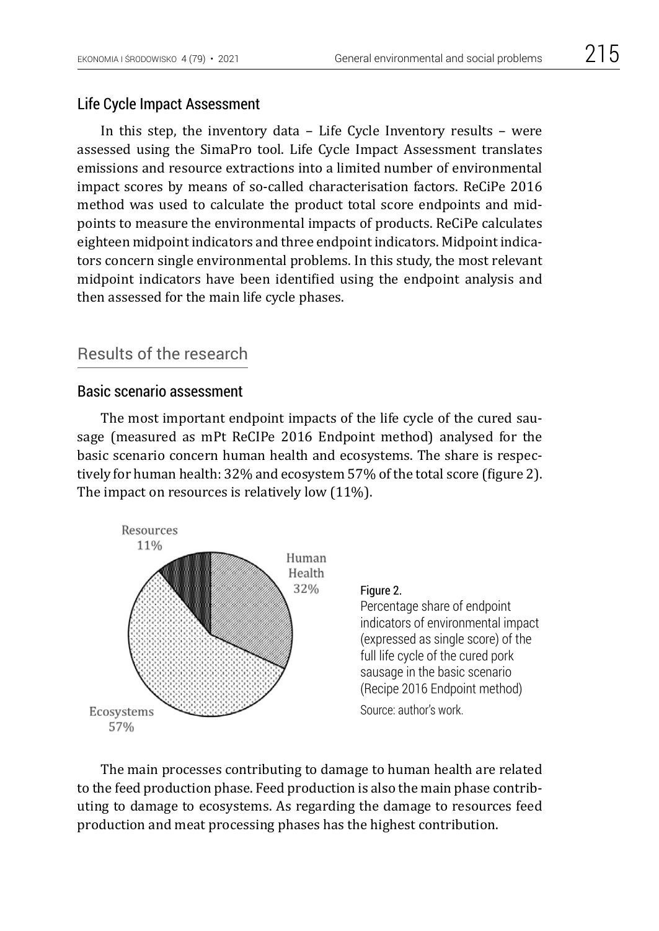In this step, the inventory data – Life Cycle Inventory results – were assessed using the SimaPro tool. Life Cycle Impact Assessment translates emissions and resource extractions into a limited number of environmental impact scores by means of so-called characterisation factors. ReCiPe 2016 method was used to calculate the product total score endpoints and midpoints to measure the environmental impacts of products. ReCiPe calculates eighteen midpoint indicators and three endpoint indicators. Midpoint indicators concern single environmental problems. In this study, the most relevant midpoint indicators have been identified using the endpoint analysis and then assessed for the main life cycle phases.

# Results of the research

#### Basic scenario assessment

The most important endpoint impacts of the life cycle of the cured sausage (measured as mPt ReCIPe 2016 Endpoint method) analysed for the basic scenario concern human health and ecosystems. The share is respectively for human health: 32% and ecosystem 57% of the total score (figure 2). The impact on resources is relatively low (11%).



The main processes contributing to damage to human health are related to the feed production phase. Feed production is also the main phase contributing to damage to ecosystems. As regarding the damage to resources feed production and meat processing phases has the highest contribution.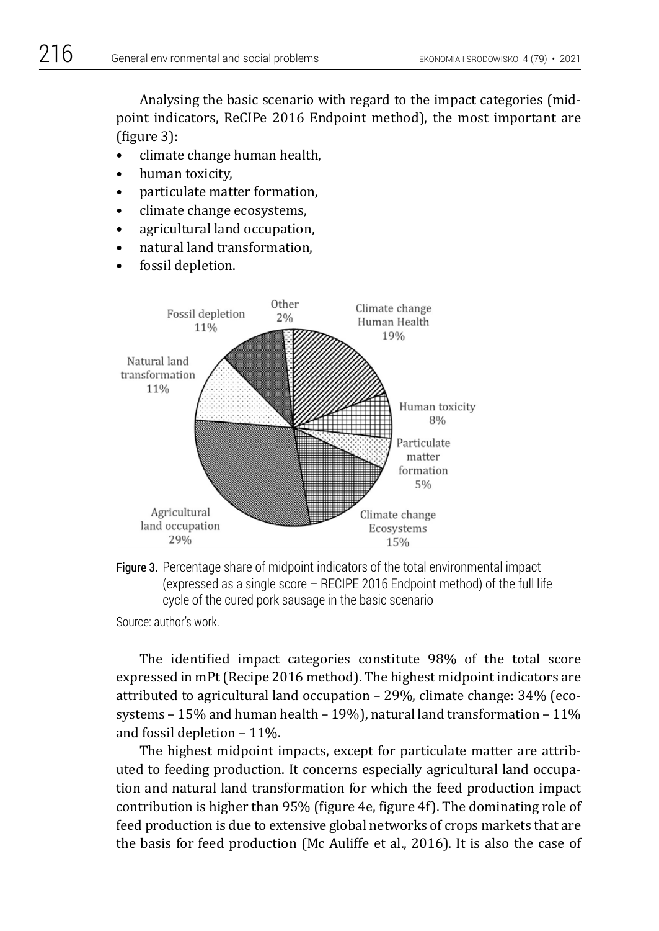Analysing the basic scenario with regard to the impact categories (midpoint indicators, ReCIPe 2016 Endpoint method), the most important are (figure 3):

- climate change human health,
- human toxicity,
- particulate matter formation,
- climate change ecosystems,
- agricultural land occupation,
- natural land transformation,
- fossil depletion.



Figure 3. Percentage share of midpoint indicators of the total environmental impact (expressed as a single score – RECIPE 2016 Endpoint method) of the full life cycle of the cured pork sausage in the basic scenario

Source: author's work.

The identified impact categories constitute 98% of the total score expressed in mPt (Recipe 2016 method). The highest midpoint indicators are attributed to agricultural land occupation – 29%, climate change: 34% (ecosystems – 15% and human health – 19%), natural land transformation – 11% and fossil depletion – 11%.

The highest midpoint impacts, except for particulate matter are attributed to feeding production. It concerns especially agricultural land occupation and natural land transformation for which the feed production impact contribution is higher than 95% (figure 4e, figure 4f). The dominating role of feed production is due to extensive global networks of crops markets that are the basis for feed production (Mc Auliffe et al., 2016). It is also the case of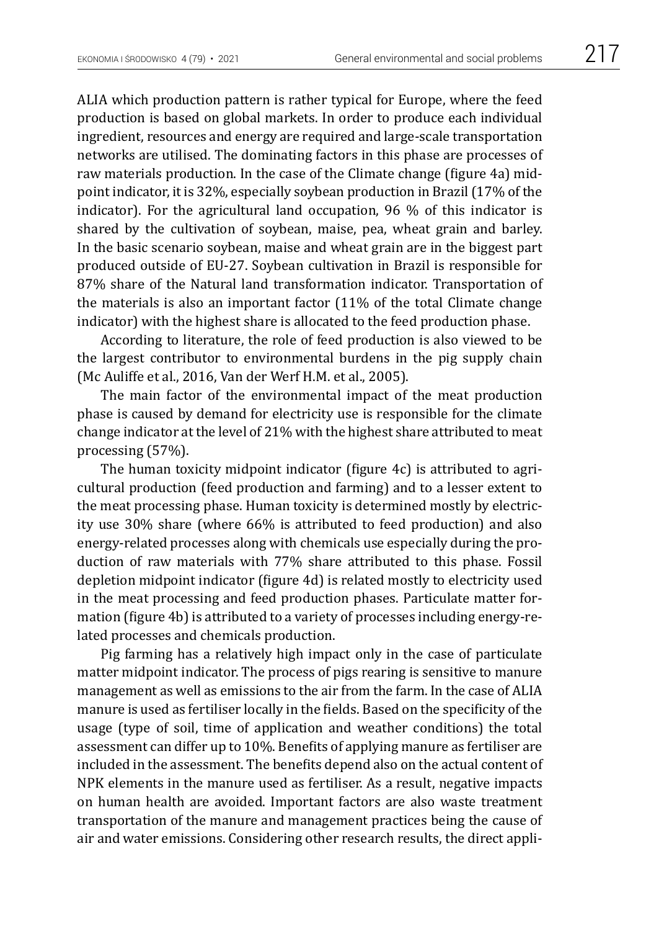ALIA which production pattern is rather typical for Europe, where the feed production is based on global markets. In order to produce each individual ingredient, resources and energy are required and large-scale transportation networks are utilised. The dominating factors in this phase are processes of raw materials production. In the case of the Climate change (figure 4a) midpoint indicator, it is 32%, especially soybean production in Brazil (17% of the indicator). For the agricultural land occupation, 96 % of this indicator is shared by the cultivation of soybean, maise, pea, wheat grain and barley. In the basic scenario soybean, maise and wheat grain are in the biggest part produced outside of EU-27. Soybean cultivation in Brazil is responsible for 87% share of the Natural land transformation indicator. Transportation of the materials is also an important factor (11% of the total Climate change indicator) with the highest share is allocated to the feed production phase.

According to literature, the role of feed production is also viewed to be the largest contributor to environmental burdens in the pig supply chain (Mc Auliffe et al., 2016, Van der Werf H.M. et al., 2005).

The main factor of the environmental impact of the meat production phase is caused by demand for electricity use is responsible for the climate change indicator at the level of 21% with the highest share attributed to meat processing (57%).

The human toxicity midpoint indicator (figure 4c) is attributed to agricultural production (feed production and farming) and to a lesser extent to the meat processing phase. Human toxicity is determined mostly by electricity use 30% share (where 66% is attributed to feed production) and also energy-related processes along with chemicals use especially during the production of raw materials with 77% share attributed to this phase. Fossil depletion midpoint indicator (figure 4d) is related mostly to electricity used in the meat processing and feed production phases. Particulate matter formation (figure 4b) is attributed to a variety of processes including energy-related processes and chemicals production.

Pig farming has a relatively high impact only in the case of particulate matter midpoint indicator. The process of pigs rearing is sensitive to manure management as well as emissions to the air from the farm. In the case of ALIA manure is used as fertiliser locally in the fields. Based on the specificity of the usage (type of soil, time of application and weather conditions) the total assessment can differ up to 10%. Benefits of applying manure as fertiliser are included in the assessment. The benefits depend also on the actual content of NPK elements in the manure used as fertiliser. As a result, negative impacts on human health are avoided. Important factors are also waste treatment transportation of the manure and management practices being the cause of air and water emissions. Considering other research results, the direct appli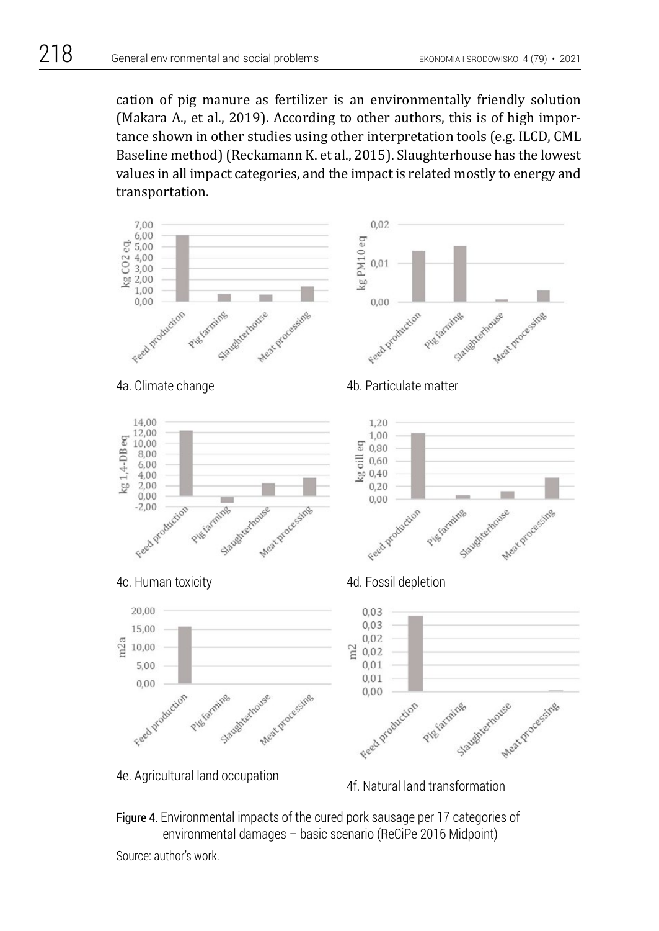cation of pig manure as fertilizer is an environmentally friendly solution (Makara A., et al., 2019). According to other authors, this is of high importance shown in other studies using other interpretation tools (e.g. ILCD, CML Baseline method) (Reckamann K. et al., 2015). Slaughterhouse has the lowest values in all impact categories, and the impact is related mostly to energy and transportation.



Figure 4. Environmental impacts of the cured pork sausage per 17 categories of environmental damages – basic scenario (ReCiPe 2016 Midpoint)

Source: author's work.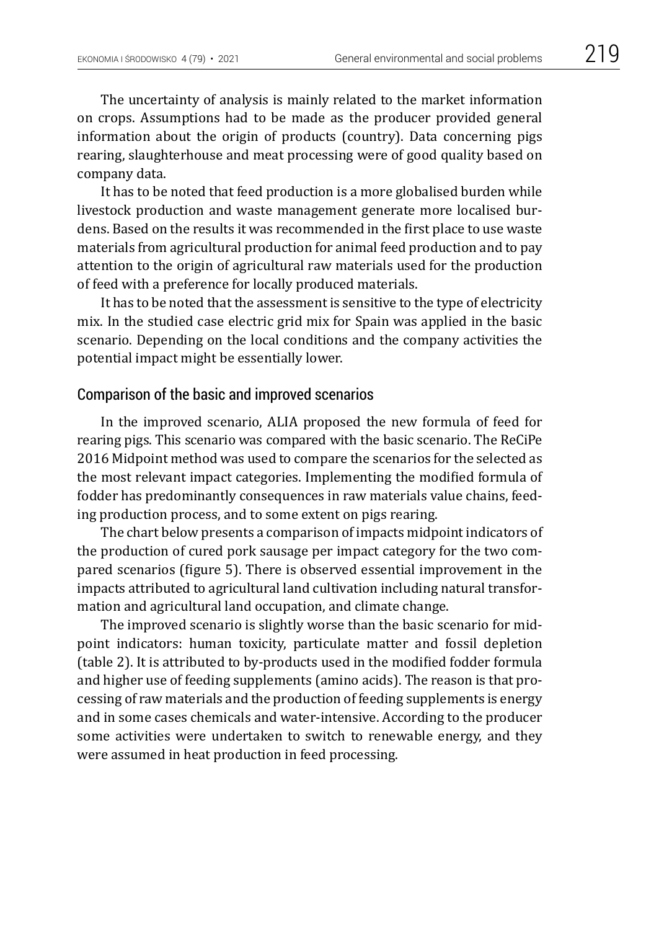The uncertainty of analysis is mainly related to the market information on crops. Assumptions had to be made as the producer provided general information about the origin of products (country). Data concerning pigs rearing, slaughterhouse and meat processing were of good quality based on company data.

It has to be noted that feed production is a more globalised burden while livestock production and waste management generate more localised burdens. Based on the results it was recommended in the first place to use waste materials from agricultural production for animal feed production and to pay attention to the origin of agricultural raw materials used for the production of feed with a preference for locally produced materials.

It has to be noted that the assessment is sensitive to the type of electricity mix. In the studied case electric grid mix for Spain was applied in the basic scenario. Depending on the local conditions and the company activities the potential impact might be essentially lower.

#### Comparison of the basic and improved scenarios

In the improved scenario, ALIA proposed the new formula of feed for rearing pigs. This scenario was compared with the basic scenario. The ReCiPe 2016 Midpoint method was used to compare the scenarios for the selected as the most relevant impact categories. Implementing the modified formula of fodder has predominantly consequences in raw materials value chains, feeding production process, and to some extent on pigs rearing.

The chart below presents a comparison of impacts midpoint indicators of the production of cured pork sausage per impact category for the two compared scenarios (figure 5). There is observed essential improvement in the impacts attributed to agricultural land cultivation including natural transformation and agricultural land occupation, and climate change.

The improved scenario is slightly worse than the basic scenario for midpoint indicators: human toxicity, particulate matter and fossil depletion (table 2). It is attributed to by-products used in the modified fodder formula and higher use of feeding supplements (amino acids). The reason is that processing of raw materials and the production of feeding supplements is energy and in some cases chemicals and water-intensive. According to the producer some activities were undertaken to switch to renewable energy, and they were assumed in heat production in feed processing.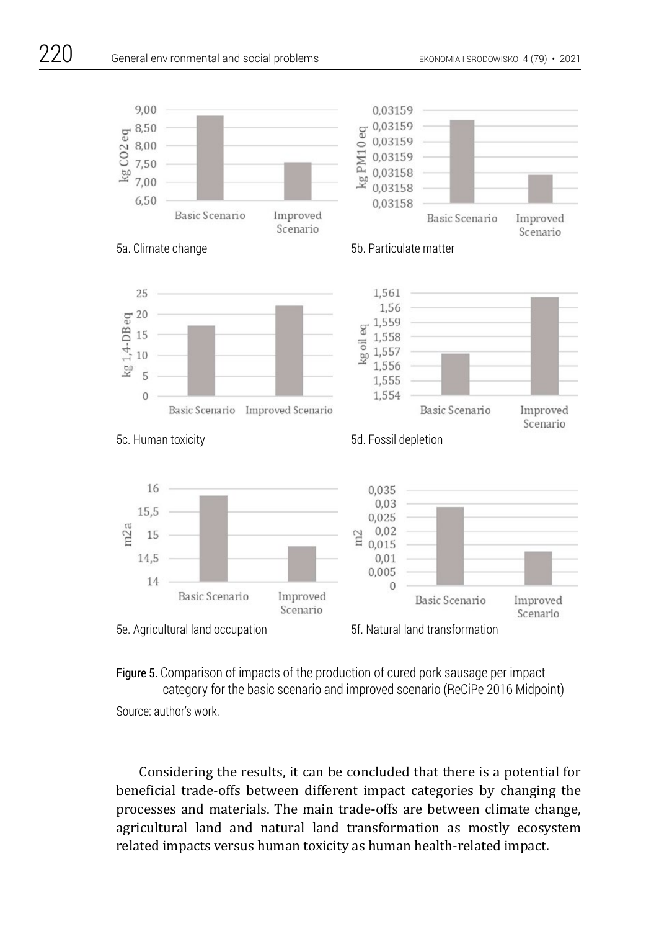



Considering the results, it can be concluded that there is a potential for beneficial trade-offs between different impact categories by changing the processes and materials. The main trade-offs are between climate change, agricultural land and natural land transformation as mostly ecosystem related impacts versus human toxicity as human health-related impact.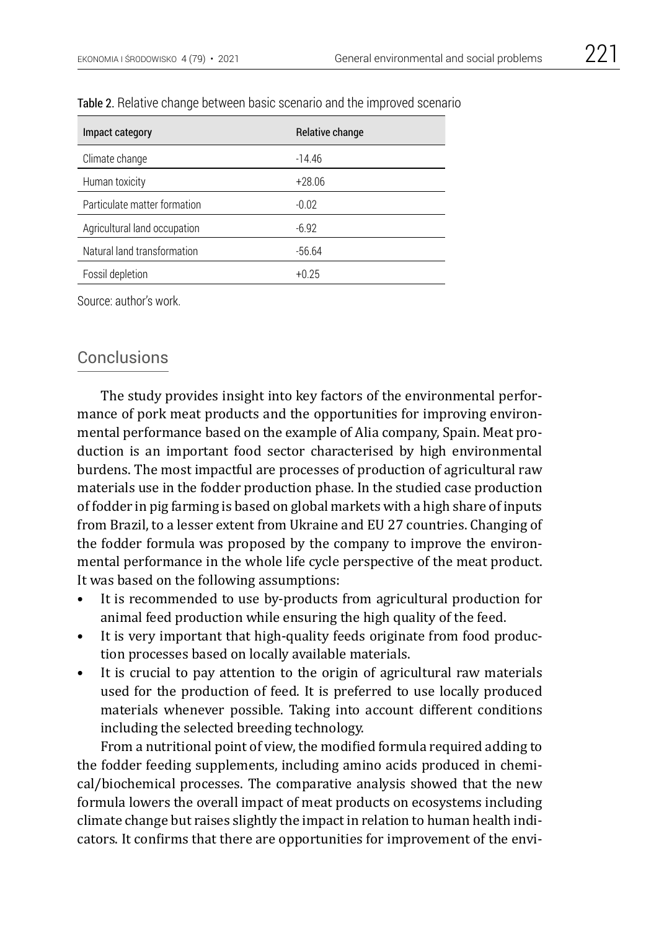| Impact category              | Relative change |
|------------------------------|-----------------|
| Climate change               | $-14.46$        |
| Human toxicity               | $+28.06$        |
| Particulate matter formation | $-0.02$         |
| Agricultural land occupation | $-6.92$         |
| Natural land transformation  | $-56.64$        |
| Fossil depletion             | $+0.25$         |

#### Table 2. Relative change between basic scenario and the improved scenario

Source: author's work.

## Conclusions

The study provides insight into key factors of the environmental performance of pork meat products and the opportunities for improving environmental performance based on the example of Alia company, Spain. Meat production is an important food sector characterised by high environmental burdens. The most impactful are processes of production of agricultural raw materials use in the fodder production phase. In the studied case production of fodder in pig farming is based on global markets with a high share of inputs from Brazil, to a lesser extent from Ukraine and EU 27 countries. Changing of the fodder formula was proposed by the company to improve the environmental performance in the whole life cycle perspective of the meat product. It was based on the following assumptions:

- It is recommended to use by-products from agricultural production for animal feed production while ensuring the high quality of the feed.
- It is very important that high-quality feeds originate from food production processes based on locally available materials.
- It is crucial to pay attention to the origin of agricultural raw materials used for the production of feed. It is preferred to use locally produced materials whenever possible. Taking into account different conditions including the selected breeding technology.

From a nutritional point of view, the modified formula required adding to the fodder feeding supplements, including amino acids produced in chemical/biochemical processes. The comparative analysis showed that the new formula lowers the overall impact of meat products on ecosystems including climate change but raises slightly the impact in relation to human health indicators. It confirms that there are opportunities for improvement of the envi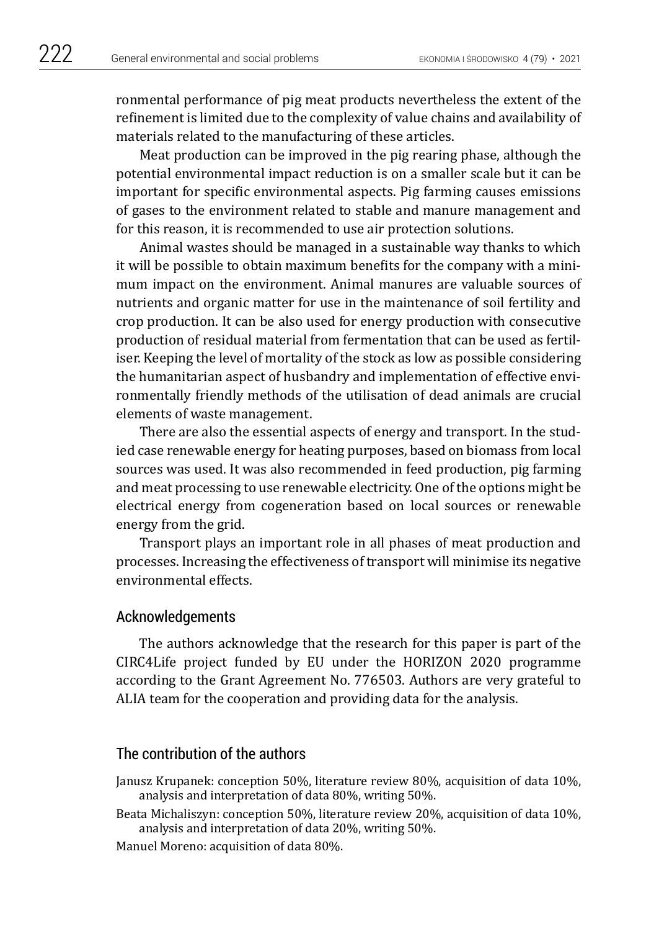ronmental performance of pig meat products nevertheless the extent of the refinement is limited due to the complexity of value chains and availability of materials related to the manufacturing of these articles.

Meat production can be improved in the pig rearing phase, although the potential environmental impact reduction is on a smaller scale but it can be important for specific environmental aspects. Pig farming causes emissions of gases to the environment related to stable and manure management and for this reason, it is recommended to use air protection solutions.

Animal wastes should be managed in a sustainable way thanks to which it will be possible to obtain maximum benefits for the company with a minimum impact on the environment. Animal manures are valuable sources of nutrients and organic matter for use in the maintenance of soil fertility and crop production. It can be also used for energy production with consecutive production of residual material from fermentation that can be used as fertiliser. Keeping the level of mortality of the stock as low as possible considering the humanitarian aspect of husbandry and implementation of effective environmentally friendly methods of the utilisation of dead animals are crucial elements of waste management.

There are also the essential aspects of energy and transport. In the studied case renewable energy for heating purposes, based on biomass from local sources was used. It was also recommended in feed production, pig farming and meat processing to use renewable electricity. One of the options might be electrical energy from cogeneration based on local sources or renewable energy from the grid.

Transport plays an important role in all phases of meat production and processes. Increasing the effectiveness of transport will minimise its negative environmental effects.

### Acknowledgements

The authors acknowledge that the research for this paper is part of the CIRC4Life project funded by EU under the HORIZON 2020 programme according to the Grant Agreement No. 776503. Authors are very grateful to ALIA team for the cooperation and providing data for the analysis.

## The contribution of the authors

Janusz Krupanek: conception 50%, literature review 80%, acquisition of data 10%, analysis and interpretation of data 80%, writing 50%.

Beata Michaliszyn: conception 50%, literature review 20%, acquisition of data 10%, analysis and interpretation of data 20%, writing 50%.

Manuel Moreno: acquisition of data 80%.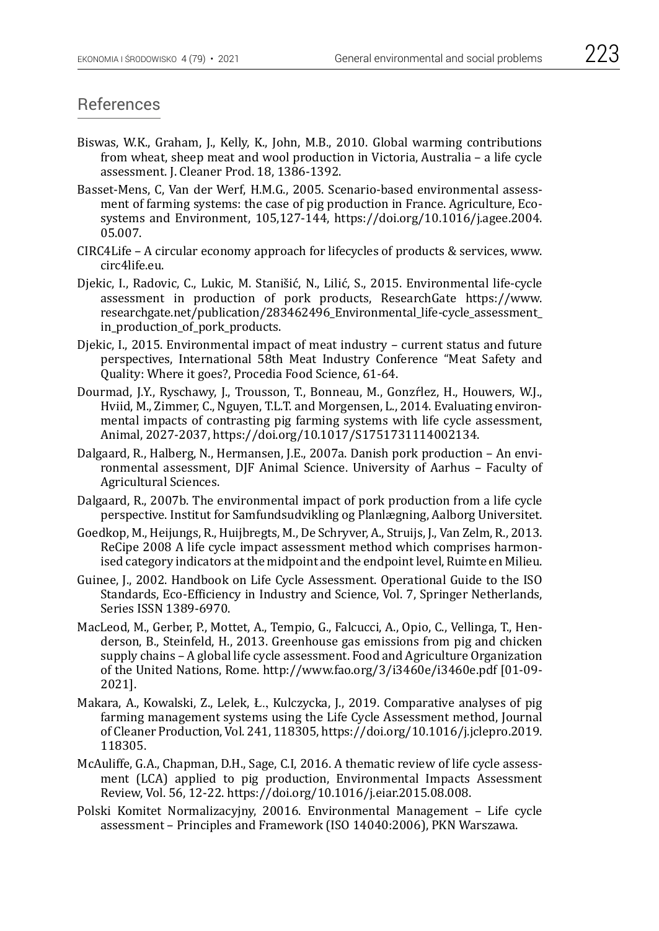- Biswas, W.K., Graham, J., Kelly, K., John, M.B., 2010. Global warming contributions from wheat, sheep meat and wool production in Victoria, Australia – a life cycle assessment. J. Cleaner Prod. 18, 1386-1392.
- Basset-Mens, C, Van der Werf, H.M.G., 2005. Scenario-based environmental assessment of farming systems: the case of pig production in France. Agriculture, Ecosystems and Environment, 105,127-144, https://doi.org/10.1016/j.agee.2004. 05.007.
- CIRC4Life A circular economy approach for lifecycles of products & services, www. circ4life.eu.
- Djekic, I., Radovic, C., Lukic, M. Stanišić, N., Lilić, S., 2015. Environmental life-cycle assessment in production of pork products, ResearchGate https://www. researchgate.net/publication/283462496\_Environmental\_life-cycle\_assessment\_ in\_production\_of\_pork\_products.
- Djekic, I., 2015. Environmental impact of meat industry current status and future perspectives, International 58th Meat Industry Conference "Meat Safety and Quality: Where it goes?, Procedia Food Science, 61-64.
- Dourmad, J.Y., Ryschawy, J., Trousson, T., Bonneau, M., Gonzŕlez, H., Houwers, W.J., Hviid, M., Zimmer, C., Nguyen, T.L.T. and Morgensen, L., 2014. Evaluating environmental impacts of contrasting pig farming systems with life cycle assessment, Animal, 2027-2037, https://doi.org/10.1017/S1751731114002134.
- Dalgaard, R., Halberg, N., Hermansen, J.E., 2007a. Danish pork production An environmental assessment, DJF Animal Science. University of Aarhus – Faculty of Agricultural Sciences.
- Dalgaard, R., 2007b. The environmental impact of pork production from a life cycle perspective. Institut for Samfundsudvikling og Planlægning, Aalborg Universitet.
- Goedkop, M., Heijungs, R., Huijbregts, M., De Schryver, A., Struijs, J., Van Zelm, R., 2013. ReCipe 2008 A life cycle impact assessment method which comprises harmonised category indicators at the midpoint and the endpoint level, Ruimte en Milieu.
- Guinee, J., 2002. Handbook on Life Cycle Assessment. Operational Guide to the ISO Standards, Eco-Efficiency in Industry and Science, Vol. 7, Springer Netherlands, Series ISSN 1389-6970.
- MacLeod, M., Gerber, P., Mottet, A., Tempio, G., Falcucci, A., Opio, C., Vellinga, T., Henderson, B., Steinfeld, H., 2013. Greenhouse gas emissions from pig and chicken supply chains – A global life cycle assessment. Food and Agriculture Organization of the United Nations, Rome.<http://www.fao.org/3/i3460e/i3460e.pdf>[01-09- 2021].
- Makara, A., Kowalski, Z., Lelek, Ł., Kulczycka, J., 2019. Comparative analyses of pig farming management systems using the Life Cycle Assessment method, Journal of Cleaner Production, Vol. 241, 118305, https://doi.org/10.1016/j.jclepro.2019. 118305.
- McAuliffe, G.A., Chapman, D.H., Sage, C.I, 2016. A thematic review of life cycle assessment (LCA) applied to pig production, Environmental Impacts Assessment Review, Vol. 56, 12-22.<https://doi.org/10.1016/j.eiar.2015.08.008>.
- Polski Komitet Normalizacyjny, 20016. Environmental Management Life cycle assessment – Principles and Framework (ISO 14040:2006), PKN Warszawa.